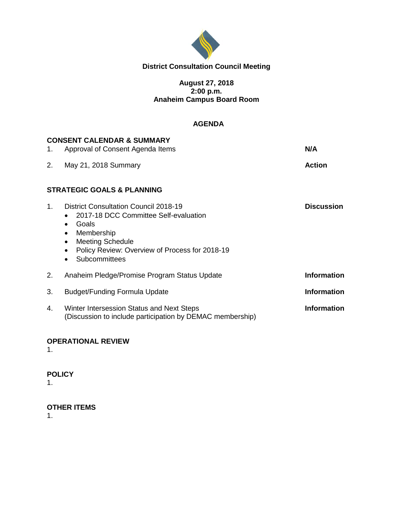

## **District Consultation Council Meeting**

#### **August 27, 2018 2:00 p.m. Anaheim Campus Board Room**

#### **AGENDA**

| 1.      | <b>CONSENT CALENDAR &amp; SUMMARY</b><br>Approval of Consent Agenda Items                                                                                                                                                                         | N/A                |
|---------|---------------------------------------------------------------------------------------------------------------------------------------------------------------------------------------------------------------------------------------------------|--------------------|
| 2.      | May 21, 2018 Summary                                                                                                                                                                                                                              | <b>Action</b>      |
|         | <b>STRATEGIC GOALS &amp; PLANNING</b>                                                                                                                                                                                                             |                    |
| $1_{-}$ | <b>District Consultation Council 2018-19</b><br>2017-18 DCC Committee Self-evaluation<br>Goals<br>$\bullet$<br>Membership<br>$\bullet$<br><b>Meeting Schedule</b><br>$\bullet$<br>Policy Review: Overview of Process for 2018-19<br>Subcommittees | <b>Discussion</b>  |
| 2.      | Anaheim Pledge/Promise Program Status Update                                                                                                                                                                                                      | <b>Information</b> |
| 3.      | Budget/Funding Formula Update                                                                                                                                                                                                                     | <b>Information</b> |
| 4.      | Winter Intersession Status and Next Steps<br>(Discussion to include participation by DEMAC membership)                                                                                                                                            | <b>Information</b> |

#### **OPERATIONAL REVIEW**

1.

#### **POLICY**

1.

## **OTHER ITEMS**

1.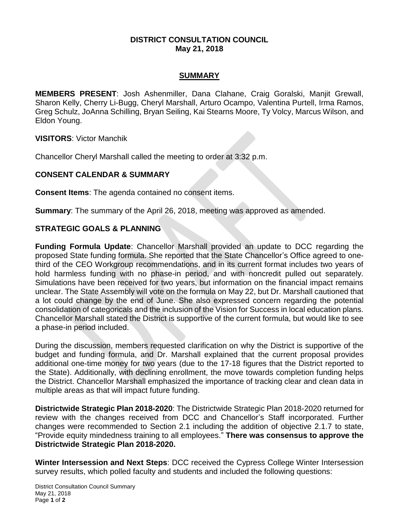#### **DISTRICT CONSULTATION COUNCIL May 21, 2018**

#### **SUMMARY**

**MEMBERS PRESENT**: Josh Ashenmiller, Dana Clahane, Craig Goralski, Manjit Grewall, Sharon Kelly, Cherry Li-Bugg, Cheryl Marshall, Arturo Ocampo, Valentina Purtell, Irma Ramos, Greg Schulz, JoAnna Schilling, Bryan Seiling, Kai Stearns Moore, Ty Volcy, Marcus Wilson, and Eldon Young.

**VISITORS**: Victor Manchik

Chancellor Cheryl Marshall called the meeting to order at 3:32 p.m.

#### **CONSENT CALENDAR & SUMMARY**

**Consent Items**: The agenda contained no consent items.

**Summary**: The summary of the April 26, 2018, meeting was approved as amended.

#### **STRATEGIC GOALS & PLANNING**

**Funding Formula Update**: Chancellor Marshall provided an update to DCC regarding the proposed State funding formula. She reported that the State Chancellor's Office agreed to onethird of the CEO Workgroup recommendations, and in its current format includes two years of hold harmless funding with no phase-in period, and with noncredit pulled out separately. Simulations have been received for two years, but information on the financial impact remains unclear. The State Assembly will vote on the formula on May 22, but Dr. Marshall cautioned that a lot could change by the end of June. She also expressed concern regarding the potential consolidation of categoricals and the inclusion of the Vision for Success in local education plans. Chancellor Marshall stated the District is supportive of the current formula, but would like to see a phase-in period included.

During the discussion, members requested clarification on why the District is supportive of the budget and funding formula, and Dr. Marshall explained that the current proposal provides additional one-time money for two years (due to the 17-18 figures that the District reported to the State). Additionally, with declining enrollment, the move towards completion funding helps the District. Chancellor Marshall emphasized the importance of tracking clear and clean data in multiple areas as that will impact future funding.

**Districtwide Strategic Plan 2018-2020**: The Districtwide Strategic Plan 2018-2020 returned for review with the changes received from DCC and Chancellor's Staff incorporated. Further changes were recommended to Section 2.1 including the addition of objective 2.1.7 to state, "Provide equity mindedness training to all employees." **There was consensus to approve the Districtwide Strategic Plan 2018-2020.**

**Winter Intersession and Next Steps**: DCC received the Cypress College Winter Intersession survey results, which polled faculty and students and included the following questions: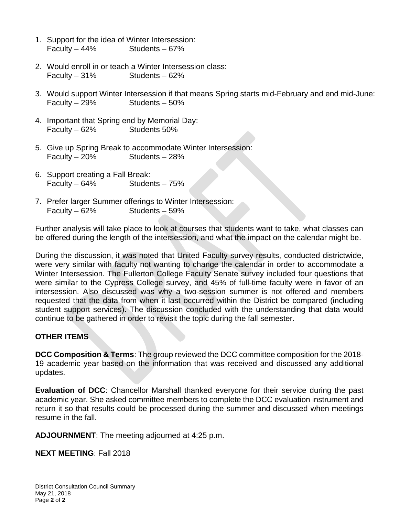- 1. Support for the idea of Winter Intersession: Faculty – 44% Students – 67%
- 2. Would enroll in or teach a Winter Intersession class: Faculty – 31% Students – 62%
- 3. Would support Winter Intersession if that means Spring starts mid-February and end mid-June: Faculty – 29% Students – 50%
- 4. Important that Spring end by Memorial Day: Faculty – 62% Students 50%
- 5. Give up Spring Break to accommodate Winter Intersession: Faculty – 20% Students – 28%
- 6. Support creating a Fall Break: Faculty – 64% Students – 75%
- 7. Prefer larger Summer offerings to Winter Intersession: Faculty – 62% Students – 59%

Further analysis will take place to look at courses that students want to take, what classes can be offered during the length of the intersession, and what the impact on the calendar might be.

During the discussion, it was noted that United Faculty survey results, conducted districtwide, were very similar with faculty not wanting to change the calendar in order to accommodate a Winter Intersession. The Fullerton College Faculty Senate survey included four questions that were similar to the Cypress College survey, and 45% of full-time faculty were in favor of an intersession. Also discussed was why a two-session summer is not offered and members requested that the data from when it last occurred within the District be compared (including student support services). The discussion concluded with the understanding that data would continue to be gathered in order to revisit the topic during the fall semester.

## **OTHER ITEMS**

**DCC Composition & Terms**: The group reviewed the DCC committee composition for the 2018- 19 academic year based on the information that was received and discussed any additional updates.

**Evaluation of DCC**: Chancellor Marshall thanked everyone for their service during the past academic year. She asked committee members to complete the DCC evaluation instrument and return it so that results could be processed during the summer and discussed when meetings resume in the fall.

**ADJOURNMENT**: The meeting adjourned at 4:25 p.m.

**NEXT MEETING**: Fall 2018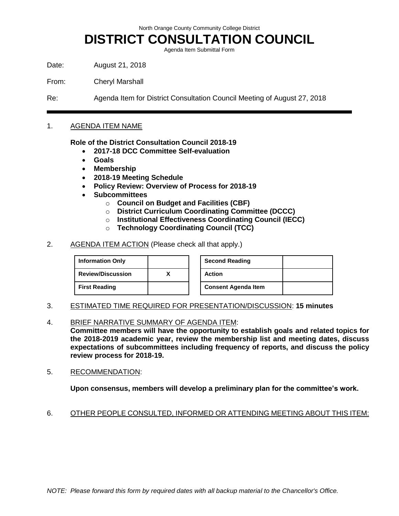North Orange County Community College District

# **DISTRICT CONSULTATION COUNCIL**

Agenda Item Submittal Form

Date: August 21, 2018

From: Cheryl Marshall

Re: Agenda Item for District Consultation Council Meeting of August 27, 2018

#### 1. AGENDA ITEM NAME

**Role of the District Consultation Council 2018-19**

- **2017-18 DCC Committee Self-evaluation**
- **Goals**
- **Membership**
- **2018-19 Meeting Schedule**
- **Policy Review: Overview of Process for 2018-19**
- **Subcommittees**
	- o **Council on Budget and Facilities (CBF)**
	- o **District Curriculum Coordinating Committee (DCCC)**
	- o **Institutional Effectiveness Coordinating Council (IECC)**
	- o **Technology Coordinating Council (TCC)**
- 2. AGENDA ITEM ACTION (Please check all that apply.)

| <b>Information Only</b>  |  | <b>Second Reading</b>      |
|--------------------------|--|----------------------------|
| <b>Review/Discussion</b> |  | <b>Action</b>              |
| <b>First Reading</b>     |  | <b>Consent Agenda Item</b> |

| <b>Second Reading</b>      |  |
|----------------------------|--|
| Action                     |  |
| <b>Consent Agenda Item</b> |  |

- 3. ESTIMATED TIME REQUIRED FOR PRESENTATION/DISCUSSION: **15 minutes**
- 4. BRIEF NARRATIVE SUMMARY OF AGENDA ITEM:

**Committee members will have the opportunity to establish goals and related topics for the 2018-2019 academic year, review the membership list and meeting dates, discuss expectations of subcommittees including frequency of reports, and discuss the policy review process for 2018-19.**

5. RECOMMENDATION:

**Upon consensus, members will develop a preliminary plan for the committee's work.**

6. OTHER PEOPLE CONSULTED, INFORMED OR ATTENDING MEETING ABOUT THIS ITEM: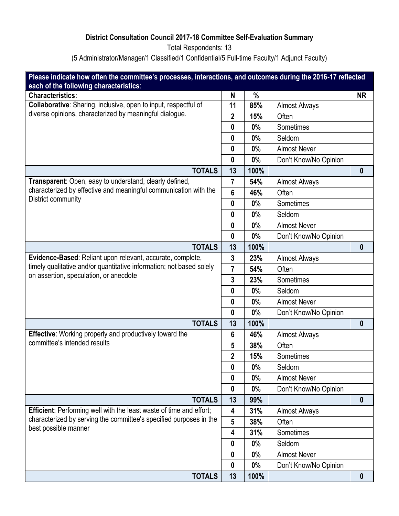# **District Consultation Council 2017-18 Committee Self-Evaluation Summary**

Total Respondents: 13

(5 Administrator/Manager/1 Classified/1 Confidential/5 Full-time Faculty/1 Adjunct Faculty)

| Please indicate how often the committee's processes, interactions, and outcomes during the 2016-17 reflected               |                         |       |                       |                  |
|----------------------------------------------------------------------------------------------------------------------------|-------------------------|-------|-----------------------|------------------|
| each of the following characteristics:                                                                                     |                         |       |                       |                  |
| <b>Characteristics:</b>                                                                                                    | N                       | $\%$  |                       | <b>NR</b>        |
| Collaborative: Sharing, inclusive, open to input, respectful of<br>diverse opinions, characterized by meaningful dialogue. | 11                      | 85%   | <b>Almost Always</b>  |                  |
|                                                                                                                            | $\overline{2}$          | 15%   | Often                 |                  |
|                                                                                                                            | 0                       | 0%    | Sometimes             |                  |
|                                                                                                                            | $\bf{0}$                | 0%    | Seldom                |                  |
|                                                                                                                            | $\boldsymbol{0}$        | 0%    | <b>Almost Never</b>   |                  |
|                                                                                                                            | $\boldsymbol{0}$        | $0\%$ | Don't Know/No Opinion |                  |
| <b>TOTALS</b>                                                                                                              | 13                      | 100%  |                       | $\boldsymbol{0}$ |
| Transparent: Open, easy to understand, clearly defined,                                                                    | $\overline{7}$          | 54%   | <b>Almost Always</b>  |                  |
| characterized by effective and meaningful communication with the                                                           | $6\phantom{1}$          | 46%   | Often                 |                  |
| District community                                                                                                         | $\boldsymbol{0}$        | 0%    | Sometimes             |                  |
|                                                                                                                            | $\boldsymbol{0}$        | $0\%$ | Seldom                |                  |
|                                                                                                                            | 0                       | 0%    | <b>Almost Never</b>   |                  |
|                                                                                                                            | 0                       | 0%    | Don't Know/No Opinion |                  |
| <b>TOTALS</b>                                                                                                              | 13                      | 100%  |                       | $\bf{0}$         |
| Evidence-Based: Reliant upon relevant, accurate, complete,                                                                 | 3                       | 23%   | <b>Almost Always</b>  |                  |
| timely qualitative and/or quantitative information; not based solely                                                       | $\overline{7}$          | 54%   | Often                 |                  |
| on assertion, speculation, or anecdote                                                                                     | 3                       | 23%   | Sometimes             |                  |
|                                                                                                                            | $\boldsymbol{0}$        | 0%    | Seldom                |                  |
|                                                                                                                            | $\boldsymbol{0}$        | 0%    | <b>Almost Never</b>   |                  |
|                                                                                                                            | $\boldsymbol{0}$        | 0%    | Don't Know/No Opinion |                  |
| <b>TOTALS</b>                                                                                                              | 13                      | 100%  |                       | $\boldsymbol{0}$ |
| <b>Effective:</b> Working properly and productively toward the                                                             | $6\phantom{1}6$         | 46%   | <b>Almost Always</b>  |                  |
| committee's intended results                                                                                               | $5\phantom{.0}$         | 38%   | Often                 |                  |
|                                                                                                                            | $\overline{\mathbf{2}}$ | 15%   | Sometimes             |                  |
|                                                                                                                            | 0                       | 0%    | Seldom                |                  |
|                                                                                                                            | 0                       | 0%    | <b>Almost Never</b>   |                  |
|                                                                                                                            | $\boldsymbol{0}$        | 0%    | Don't Know/No Opinion |                  |
| <b>TOTALS</b>                                                                                                              | 13                      | 99%   |                       | $\boldsymbol{0}$ |
| <b>Efficient:</b> Performing well with the least waste of time and effort;                                                 | 4                       | 31%   | <b>Almost Always</b>  |                  |
| characterized by serving the committee's specified purposes in the                                                         | $5\phantom{.0}$         | 38%   | Often                 |                  |
| best possible manner                                                                                                       | 4                       | 31%   | Sometimes             |                  |
|                                                                                                                            | 0                       | $0\%$ | Seldom                |                  |
|                                                                                                                            | $\boldsymbol{0}$        | 0%    | <b>Almost Never</b>   |                  |
|                                                                                                                            | $\boldsymbol{0}$        | $0\%$ | Don't Know/No Opinion |                  |
| <b>TOTALS</b>                                                                                                              | 13                      | 100%  |                       | $\boldsymbol{0}$ |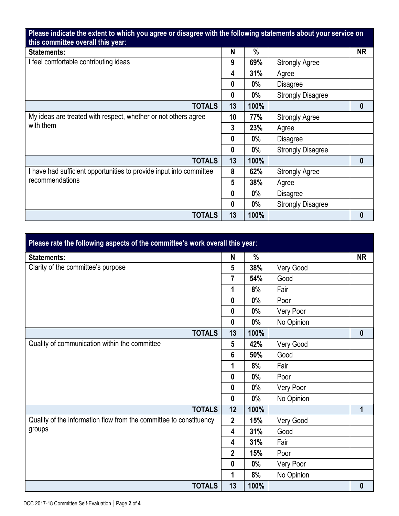**Please indicate the extent to which you agree or disagree with the following statements about your service on this committee overall this year**:

| uns commutee overan uns year.                                       |                  |       |                          |                  |
|---------------------------------------------------------------------|------------------|-------|--------------------------|------------------|
| <b>Statements:</b>                                                  | N                | $\%$  |                          | <b>NR</b>        |
| I feel comfortable contributing ideas                               | 9                | 69%   | <b>Strongly Agree</b>    |                  |
|                                                                     | 4                | 31%   | Agree                    |                  |
|                                                                     | $\boldsymbol{0}$ | $0\%$ | <b>Disagree</b>          |                  |
|                                                                     | $\boldsymbol{0}$ | $0\%$ | <b>Strongly Disagree</b> |                  |
| <b>TOTALS</b>                                                       | 13               | 100%  |                          | $\boldsymbol{0}$ |
| My ideas are treated with respect, whether or not others agree      | 10               | 77%   | <b>Strongly Agree</b>    |                  |
| with them                                                           | 3                | 23%   | Agree                    |                  |
|                                                                     | $\boldsymbol{0}$ | $0\%$ | <b>Disagree</b>          |                  |
|                                                                     | $\boldsymbol{0}$ | $0\%$ | <b>Strongly Disagree</b> |                  |
| <b>TOTALS</b>                                                       | 13               | 100%  |                          | 0                |
| I have had sufficient opportunities to provide input into committee | 8                | 62%   | <b>Strongly Agree</b>    |                  |
| recommendations                                                     | 5                | 38%   | Agree                    |                  |
|                                                                     | 0                | $0\%$ | <b>Disagree</b>          |                  |
|                                                                     | 0                | $0\%$ | <b>Strongly Disagree</b> |                  |
| <b>TOTALS</b>                                                       | 13               | 100%  |                          | 0                |

| Please rate the following aspects of the committee's work overall this year: |                  |       |            |                  |
|------------------------------------------------------------------------------|------------------|-------|------------|------------------|
| <b>Statements:</b>                                                           | N                | %     |            | <b>NR</b>        |
| Clarity of the committee's purpose                                           | 5                | 38%   | Very Good  |                  |
|                                                                              | $\overline{7}$   | 54%   | Good       |                  |
|                                                                              | 1                | 8%    | Fair       |                  |
|                                                                              | $\boldsymbol{0}$ | 0%    | Poor       |                  |
|                                                                              | $\boldsymbol{0}$ | $0\%$ | Very Poor  |                  |
|                                                                              | $\mathbf{0}$     | 0%    | No Opinion |                  |
| <b>TOTALS</b>                                                                | 13               | 100%  |            | $\boldsymbol{0}$ |
| Quality of communication within the committee                                | $5\phantom{1}$   | 42%   | Very Good  |                  |
|                                                                              | $6\phantom{1}$   | 50%   | Good       |                  |
|                                                                              | 1                | 8%    | Fair       |                  |
|                                                                              | $\boldsymbol{0}$ | 0%    | Poor       |                  |
|                                                                              | $\boldsymbol{0}$ | 0%    | Very Poor  |                  |
|                                                                              | $\boldsymbol{0}$ | $0\%$ | No Opinion |                  |
| <b>TOTALS</b>                                                                | 12               | 100%  |            | 1                |
| Quality of the information flow from the committee to constituency           | $\mathbf{2}$     | 15%   | Very Good  |                  |
| groups                                                                       | 4                | 31%   | Good       |                  |
|                                                                              | 4                | 31%   | Fair       |                  |
|                                                                              | $\mathbf{2}$     | 15%   | Poor       |                  |
|                                                                              | $\boldsymbol{0}$ | $0\%$ | Very Poor  |                  |
|                                                                              | 1                | 8%    | No Opinion |                  |
| <b>TOTALS</b>                                                                | 13               | 100%  |            | $\boldsymbol{0}$ |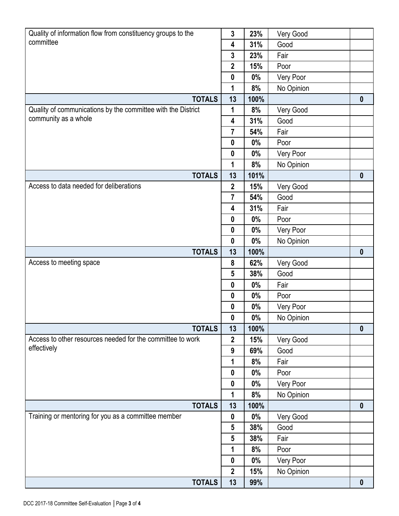| Quality of information flow from constituency groups to the  | $\mathbf{3}$     | 23%   | Very Good  |                  |
|--------------------------------------------------------------|------------------|-------|------------|------------------|
| committee                                                    | 4                | 31%   | Good       |                  |
|                                                              | $\mathbf{3}$     | 23%   | Fair       |                  |
|                                                              | $\mathbf{2}$     | 15%   | Poor       |                  |
|                                                              | $\boldsymbol{0}$ | 0%    | Very Poor  |                  |
|                                                              | 1                | 8%    | No Opinion |                  |
| <b>TOTALS</b>                                                | 13               | 100%  |            | $\boldsymbol{0}$ |
| Quality of communications by the committee with the District | 1                | 8%    | Very Good  |                  |
| community as a whole                                         | 4                | 31%   | Good       |                  |
|                                                              | $\overline{7}$   | 54%   | Fair       |                  |
|                                                              | $\boldsymbol{0}$ | $0\%$ | Poor       |                  |
|                                                              | $\boldsymbol{0}$ | 0%    | Very Poor  |                  |
|                                                              | 1                | 8%    | No Opinion |                  |
| <b>TOTALS</b>                                                | 13               | 101%  |            | $\boldsymbol{0}$ |
| Access to data needed for deliberations                      | $\mathbf{2}$     | 15%   | Very Good  |                  |
|                                                              | $\overline{7}$   | 54%   | Good       |                  |
|                                                              | 4                | 31%   | Fair       |                  |
|                                                              | $\boldsymbol{0}$ | 0%    | Poor       |                  |
|                                                              | $\boldsymbol{0}$ | 0%    | Very Poor  |                  |
|                                                              | $\boldsymbol{0}$ | 0%    | No Opinion |                  |
| <b>TOTALS</b>                                                | 13               | 100%  |            | $\boldsymbol{0}$ |
| Access to meeting space                                      | 8                | 62%   | Very Good  |                  |
|                                                              | 5                | 38%   | Good       |                  |
|                                                              | $\boldsymbol{0}$ | 0%    | Fair       |                  |
|                                                              | $\boldsymbol{0}$ | 0%    | Poor       |                  |
|                                                              | $\boldsymbol{0}$ | $0\%$ | Very Poor  |                  |
|                                                              | $\boldsymbol{0}$ | $0\%$ | No Opinion |                  |
| <b>TOTALS</b>                                                | 13               | 100%  |            | $\boldsymbol{0}$ |
| Access to other resources needed for the committee to work   | $\boldsymbol{2}$ | 15%   | Very Good  |                  |
| effectively                                                  | $\boldsymbol{9}$ | 69%   | Good       |                  |
|                                                              | 1                | 8%    | Fair       |                  |
|                                                              | $\boldsymbol{0}$ | $0\%$ | Poor       |                  |
|                                                              | $\boldsymbol{0}$ | $0\%$ | Very Poor  |                  |
|                                                              | 1                | 8%    | No Opinion |                  |
| <b>TOTALS</b>                                                | 13               | 100%  |            | $\boldsymbol{0}$ |
| Training or mentoring for you as a committee member          | $\boldsymbol{0}$ | $0\%$ | Very Good  |                  |
|                                                              | 5                | 38%   | Good       |                  |
|                                                              | $5\phantom{.0}$  | 38%   | Fair       |                  |
|                                                              | 1                | 8%    | Poor       |                  |
|                                                              | $\boldsymbol{0}$ | $0\%$ | Very Poor  |                  |
|                                                              | $\overline{2}$   | 15%   | No Opinion |                  |
| <b>TOTALS</b>                                                | 13               | 99%   |            | $\boldsymbol{0}$ |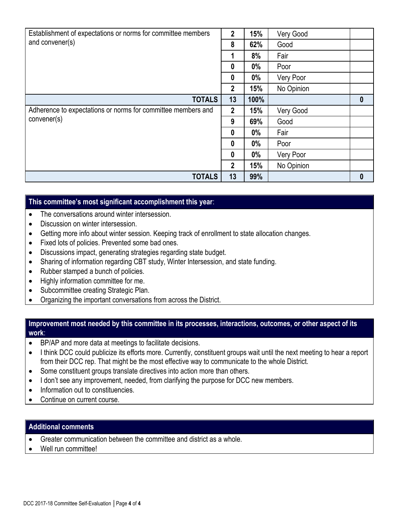| Establishment of expectations or norms for committee members<br>and convener(s) |                  | 15%   | Very Good  |                  |
|---------------------------------------------------------------------------------|------------------|-------|------------|------------------|
|                                                                                 |                  | 62%   | Good       |                  |
|                                                                                 | 1                | 8%    | Fair       |                  |
|                                                                                 | $\boldsymbol{0}$ | $0\%$ | Poor       |                  |
|                                                                                 | 0                | $0\%$ | Very Poor  |                  |
|                                                                                 | $\overline{2}$   | 15%   | No Opinion |                  |
| <b>TOTALS</b>                                                                   | 13               | 100%  |            | $\boldsymbol{0}$ |
| Adherence to expectations or norms for committee members and                    | $\overline{2}$   | 15%   | Very Good  |                  |
| convener(s)                                                                     | 9                | 69%   | Good       |                  |
|                                                                                 | 0                | 0%    | Fair       |                  |
|                                                                                 | $\mathbf{0}$     | $0\%$ | Poor       |                  |
|                                                                                 | $\boldsymbol{0}$ | $0\%$ | Very Poor  |                  |
|                                                                                 | $\overline{2}$   | 15%   | No Opinion |                  |
| <b>TOTALS</b>                                                                   | 13               | 99%   |            | $\bf{0}$         |

## **This committee's most significant accomplishment this year**:

- The conversations around winter intersession.
- Discussion on winter intersession.
- Getting more info about winter session. Keeping track of enrollment to state allocation changes.
- Fixed lots of policies. Prevented some bad ones.
- Discussions impact, generating strategies regarding state budget.
- Sharing of information regarding CBT study, Winter Intersession, and state funding.
- Rubber stamped a bunch of policies.
- Highly information committee for me.
- Subcommittee creating Strategic Plan.
- Organizing the important conversations from across the District.

#### **Improvement most needed by this committee in its processes, interactions, outcomes, or other aspect of its work**:

- BP/AP and more data at meetings to facilitate decisions.
- I think DCC could publicize its efforts more. Currently, constituent groups wait until the next meeting to hear a report from their DCC rep. That might be the most effective way to communicate to the whole District.
- Some constituent groups translate directives into action more than others.
- I don't see any improvement, needed, from clarifying the purpose for DCC new members.
- Information out to constituencies.
- Continue on current course.

#### **Additional comments**

- Greater communication between the committee and district as a whole.
- Well run committee!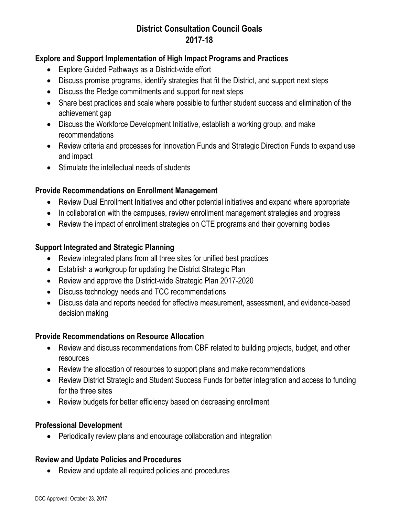# **District Consultation Council Goals 2017-18**

## **Explore and Support Implementation of High Impact Programs and Practices**

- Explore Guided Pathways as a District-wide effort
- Discuss promise programs, identify strategies that fit the District, and support next steps
- Discuss the Pledge commitments and support for next steps
- Share best practices and scale where possible to further student success and elimination of the achievement gap
- Discuss the Workforce Development Initiative, establish a working group, and make recommendations
- Review criteria and processes for Innovation Funds and Strategic Direction Funds to expand use and impact
- Stimulate the intellectual needs of students

## **Provide Recommendations on Enrollment Management**

- Review Dual Enrollment Initiatives and other potential initiatives and expand where appropriate
- In collaboration with the campuses, review enrollment management strategies and progress
- Review the impact of enrollment strategies on CTE programs and their governing bodies

## **Support Integrated and Strategic Planning**

- Review integrated plans from all three sites for unified best practices
- Establish a workgroup for updating the District Strategic Plan
- Review and approve the District-wide Strategic Plan 2017-2020
- Discuss technology needs and TCC recommendations
- Discuss data and reports needed for effective measurement, assessment, and evidence-based decision making

## **Provide Recommendations on Resource Allocation**

- Review and discuss recommendations from CBF related to building projects, budget, and other resources
- Review the allocation of resources to support plans and make recommendations
- Review District Strategic and Student Success Funds for better integration and access to funding for the three sites
- Review budgets for better efficiency based on decreasing enrollment

## **Professional Development**

Periodically review plans and encourage collaboration and integration

## **Review and Update Policies and Procedures**

• Review and update all required policies and procedures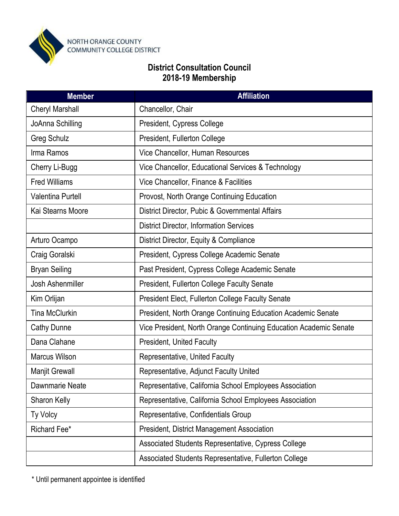

# **District Consultation Council 2018-19 Membership**

| <b>Member</b>            | <b>Affiliation</b>                                                |
|--------------------------|-------------------------------------------------------------------|
| <b>Cheryl Marshall</b>   | Chancellor, Chair                                                 |
| JoAnna Schilling         | President, Cypress College                                        |
| <b>Greg Schulz</b>       | President, Fullerton College                                      |
| Irma Ramos               | Vice Chancellor, Human Resources                                  |
| Cherry Li-Bugg           | Vice Chancellor, Educational Services & Technology                |
| <b>Fred Williams</b>     | Vice Chancellor, Finance & Facilities                             |
| <b>Valentina Purtell</b> | Provost, North Orange Continuing Education                        |
| Kai Stearns Moore        | District Director, Pubic & Governmental Affairs                   |
|                          | <b>District Director, Information Services</b>                    |
| Arturo Ocampo            | District Director, Equity & Compliance                            |
| Craig Goralski           | President, Cypress College Academic Senate                        |
| <b>Bryan Seiling</b>     | Past President, Cypress College Academic Senate                   |
| Josh Ashenmiller         | <b>President, Fullerton College Faculty Senate</b>                |
| Kim Orlijan              | <b>President Elect, Fullerton College Faculty Senate</b>          |
| <b>Tina McClurkin</b>    | President, North Orange Continuing Education Academic Senate      |
| <b>Cathy Dunne</b>       | Vice President, North Orange Continuing Education Academic Senate |
| Dana Clahane             | <b>President, United Faculty</b>                                  |
| <b>Marcus Wilson</b>     | Representative, United Faculty                                    |
| Manjit Grewall           | Representative, Adjunct Faculty United                            |
| Dawnmarie Neate          | Representative, California School Employees Association           |
| Sharon Kelly             | Representative, California School Employees Association           |
| Ty Volcy                 | Representative, Confidentials Group                               |
| Richard Fee*             | <b>President, District Management Association</b>                 |
|                          | Associated Students Representative, Cypress College               |
|                          | Associated Students Representative, Fullerton College             |

\* Until permanent appointee is identified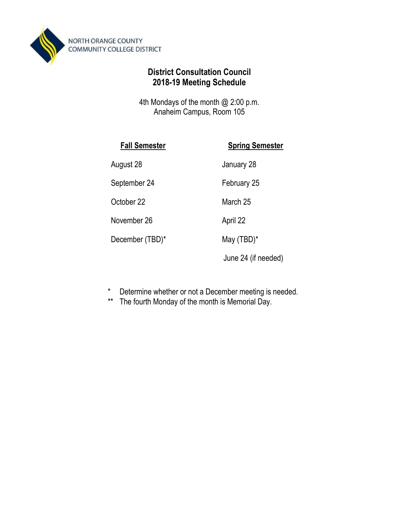

# **District Consultation Council 2018-19 Meeting Schedule**

4th Mondays of the month @ 2:00 p.m. Anaheim Campus, Room 105

| <b>Fall Semester</b> | <b>Spring Semester</b> |
|----------------------|------------------------|
| August 28            | January 28             |
| September 24         | February 25            |
| October 22           | March 25               |
| November 26          | April 22               |
| December (TBD)*      | May $(TBD)^*$          |
|                      | June 24 (if needed)    |

- \* Determine whether or not a December meeting is needed.
- \*\* The fourth Monday of the month is Memorial Day.